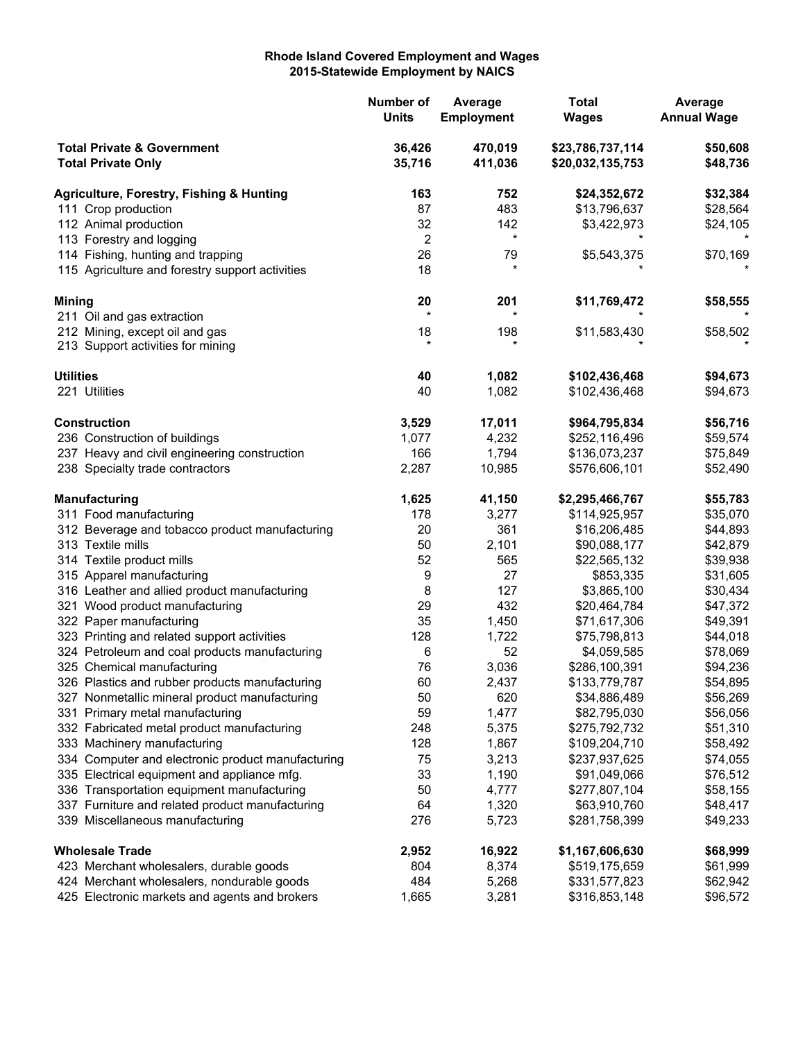## **Rhode Island Covered Employment and Wages 2015-Statewide Employment by NAICS**

|                                                                    |                                                                                             | Number of<br><b>Units</b> | Average<br><b>Employment</b> | <b>Total</b><br><b>Wages</b>         | Average<br><b>Annual Wage</b> |
|--------------------------------------------------------------------|---------------------------------------------------------------------------------------------|---------------------------|------------------------------|--------------------------------------|-------------------------------|
| <b>Total Private &amp; Government</b><br><b>Total Private Only</b> |                                                                                             | 36,426<br>35,716          | 470,019<br>411,036           | \$23,786,737,114<br>\$20,032,135,753 | \$50,608<br>\$48,736          |
|                                                                    | <b>Agriculture, Forestry, Fishing &amp; Hunting</b>                                         | 163                       | 752                          | \$24,352,672                         | \$32,384                      |
|                                                                    | 111 Crop production                                                                         | 87                        | 483                          | \$13,796,637                         | \$28,564                      |
|                                                                    | 112 Animal production                                                                       | 32                        | 142                          | \$3,422,973                          | \$24,105                      |
|                                                                    | 113 Forestry and logging                                                                    | 2                         | $^\star$                     |                                      |                               |
|                                                                    | 114 Fishing, hunting and trapping                                                           | 26                        | 79                           | \$5,543,375                          | \$70,169                      |
|                                                                    | 115 Agriculture and forestry support activities                                             | 18                        |                              |                                      |                               |
| <b>Mining</b>                                                      |                                                                                             | 20                        | 201                          | \$11,769,472                         | \$58,555                      |
|                                                                    | 211 Oil and gas extraction                                                                  | $\star$                   |                              |                                      |                               |
|                                                                    | 212 Mining, except oil and gas                                                              | 18                        | 198                          | \$11,583,430                         | \$58,502                      |
|                                                                    | 213 Support activities for mining                                                           |                           |                              |                                      |                               |
| <b>Utilities</b>                                                   |                                                                                             | 40                        | 1,082                        | \$102,436,468                        | \$94,673                      |
| 221 Utilities                                                      |                                                                                             | 40                        | 1,082                        | \$102,436,468                        | \$94,673                      |
| <b>Construction</b>                                                |                                                                                             | 3,529                     | 17,011                       | \$964,795,834                        | \$56,716                      |
|                                                                    | 236 Construction of buildings                                                               | 1,077                     | 4,232                        | \$252,116,496                        | \$59,574                      |
|                                                                    | 237 Heavy and civil engineering construction                                                | 166                       | 1,794                        | \$136,073,237                        | \$75,849                      |
|                                                                    | 238 Specialty trade contractors                                                             | 2,287                     | 10,985                       | \$576,606,101                        | \$52,490                      |
| <b>Manufacturing</b>                                               |                                                                                             | 1,625                     | 41,150                       | \$2,295,466,767                      | \$55,783                      |
|                                                                    | 311 Food manufacturing                                                                      | 178                       | 3,277                        | \$114,925,957                        | \$35,070                      |
|                                                                    | 312 Beverage and tobacco product manufacturing                                              | 20                        | 361                          | \$16,206,485                         | \$44,893                      |
| 313 Textile mills                                                  |                                                                                             | 50                        | 2,101                        | \$90,088,177                         | \$42,879                      |
|                                                                    | 314 Textile product mills                                                                   | 52                        | 565                          | \$22,565,132                         | \$39,938                      |
|                                                                    | 315 Apparel manufacturing                                                                   | 9                         | 27                           | \$853,335                            | \$31,605                      |
|                                                                    | 316 Leather and allied product manufacturing                                                | 8                         | 127                          | \$3,865,100                          | \$30,434                      |
|                                                                    | 321 Wood product manufacturing                                                              | 29                        | 432                          | \$20,464,784                         | \$47,372                      |
|                                                                    | 322 Paper manufacturing                                                                     | 35                        | 1,450                        | \$71,617,306                         | \$49,391                      |
|                                                                    | 323 Printing and related support activities                                                 | 128                       | 1,722                        | \$75,798,813                         | \$44,018                      |
|                                                                    | 324 Petroleum and coal products manufacturing                                               | 6                         | 52                           | \$4,059,585                          | \$78,069                      |
|                                                                    | 325 Chemical manufacturing                                                                  | 76                        | 3,036                        | \$286,100,391                        | \$94,236                      |
|                                                                    | 326 Plastics and rubber products manufacturing                                              | 60                        | 2,437                        | \$133,779,787                        | \$54,895                      |
|                                                                    | 327 Nonmetallic mineral product manufacturing                                               | 50                        | 620                          | \$34,886,489                         | \$56,269                      |
|                                                                    | 331 Primary metal manufacturing                                                             | 59                        | 1,477                        | \$82,795,030                         | \$56,056                      |
|                                                                    | 332 Fabricated metal product manufacturing                                                  | 248                       | 5,375                        | \$275,792,732                        | \$51,310                      |
|                                                                    | 333 Machinery manufacturing                                                                 | 128                       | 1,867                        | \$109,204,710                        | \$58,492                      |
|                                                                    | 334 Computer and electronic product manufacturing                                           | 75                        | 3,213                        | \$237,937,625                        | \$74,055                      |
|                                                                    | 335 Electrical equipment and appliance mfg.                                                 | 33                        | 1,190                        | \$91,049,066                         | \$76,512                      |
|                                                                    | 336 Transportation equipment manufacturing                                                  | 50                        | 4,777                        | \$277,807,104                        | \$58,155                      |
|                                                                    | 337 Furniture and related product manufacturing<br>339 Miscellaneous manufacturing          | 64<br>276                 | 1,320<br>5,723               | \$63,910,760<br>\$281,758,399        | \$48,417<br>\$49,233          |
|                                                                    |                                                                                             |                           |                              |                                      |                               |
| <b>Wholesale Trade</b>                                             |                                                                                             | 2,952                     | 16,922                       | \$1,167,606,630                      | \$68,999                      |
|                                                                    | 423 Merchant wholesalers, durable goods                                                     | 804                       | 8,374                        | \$519,175,659                        | \$61,999                      |
|                                                                    | 424 Merchant wholesalers, nondurable goods<br>425 Electronic markets and agents and brokers | 484<br>1,665              | 5,268<br>3,281               | \$331,577,823<br>\$316,853,148       | \$62,942<br>\$96,572          |
|                                                                    |                                                                                             |                           |                              |                                      |                               |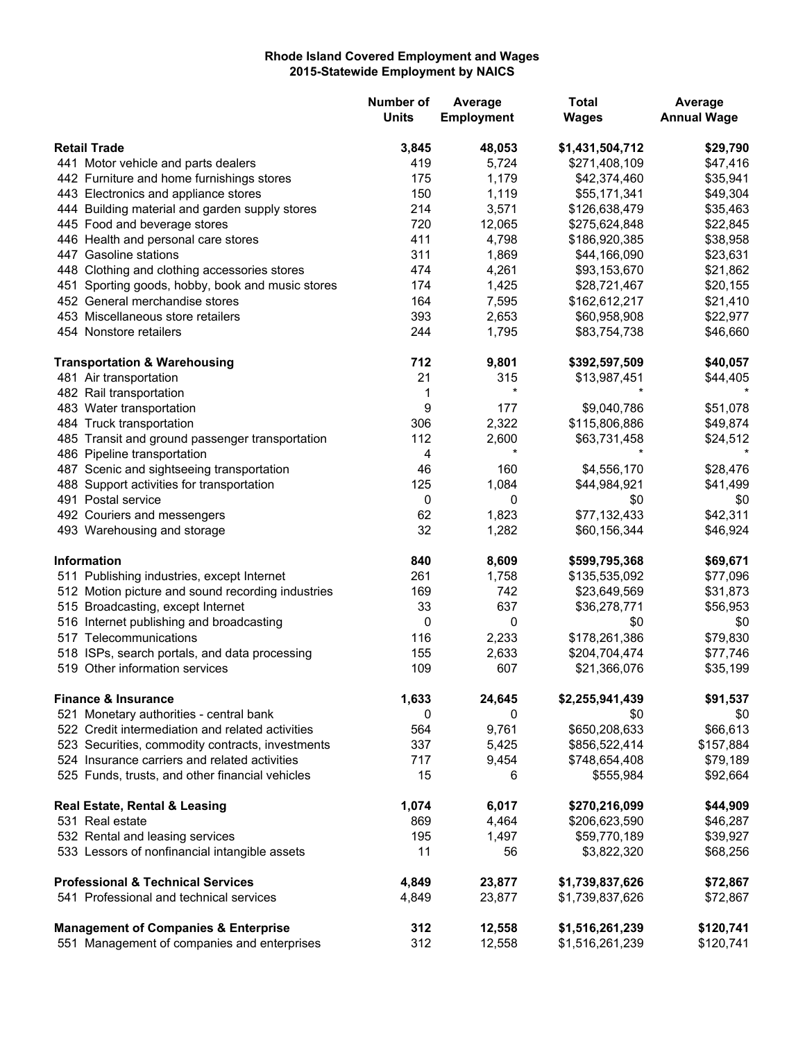## **Rhode Island Covered Employment and Wages 2015-Statewide Employment by NAICS**

|                                                                                                  | Number of<br><b>Units</b> | Average<br><b>Employment</b> | <b>Total</b><br><b>Wages</b> | Average<br><b>Annual Wage</b> |
|--------------------------------------------------------------------------------------------------|---------------------------|------------------------------|------------------------------|-------------------------------|
|                                                                                                  |                           |                              |                              |                               |
| <b>Retail Trade</b>                                                                              | 3,845<br>419              | 48,053<br>5,724              | \$1,431,504,712              | \$29,790                      |
| 441 Motor vehicle and parts dealers                                                              |                           | 1,179                        | \$271,408,109                | \$47,416                      |
| 442 Furniture and home furnishings stores                                                        | 175<br>150                | 1,119                        | \$42,374,460<br>\$55,171,341 | \$35,941                      |
| 443 Electronics and appliance stores<br>444 Building material and garden supply stores           | 214                       | 3,571                        | \$126,638,479                | \$49,304<br>\$35,463          |
| 445 Food and beverage stores                                                                     | 720                       | 12,065                       | \$275,624,848                | \$22,845                      |
| 446 Health and personal care stores                                                              | 411                       | 4,798                        | \$186,920,385                | \$38,958                      |
| 447 Gasoline stations                                                                            | 311                       | 1,869                        |                              | \$23,631                      |
|                                                                                                  | 474                       | 4,261                        | \$44,166,090                 |                               |
| 448 Clothing and clothing accessories stores<br>451 Sporting goods, hobby, book and music stores |                           | 1,425                        | \$93,153,670                 | \$21,862                      |
|                                                                                                  | 174                       | 7,595                        | \$28,721,467                 | \$20,155                      |
| 452 General merchandise stores                                                                   | 164                       |                              | \$162,612,217                | \$21,410                      |
| 453 Miscellaneous store retailers                                                                | 393                       | 2,653                        | \$60,958,908                 | \$22,977                      |
| 454 Nonstore retailers                                                                           | 244                       | 1,795                        | \$83,754,738                 | \$46,660                      |
| <b>Transportation &amp; Warehousing</b>                                                          | 712                       | 9,801                        | \$392,597,509                | \$40,057                      |
| 481 Air transportation                                                                           | 21                        | 315                          | \$13,987,451                 | \$44,405                      |
| 482 Rail transportation                                                                          | 1                         | $\star$                      |                              |                               |
| 483 Water transportation                                                                         | 9                         | 177                          | \$9,040,786                  | \$51,078                      |
| 484 Truck transportation                                                                         | 306                       | 2,322                        | \$115,806,886                | \$49,874                      |
| 485 Transit and ground passenger transportation                                                  | 112                       | 2,600                        | \$63,731,458                 | \$24,512                      |
| 486 Pipeline transportation                                                                      | 4                         | $\star$                      |                              |                               |
| 487 Scenic and sightseeing transportation                                                        | 46                        | 160                          | \$4,556,170                  | \$28,476                      |
| 488 Support activities for transportation                                                        | 125                       | 1,084                        | \$44,984,921                 | \$41,499                      |
| 491 Postal service                                                                               | 0                         | 0                            | \$0                          | \$0                           |
| 492 Couriers and messengers                                                                      | 62                        | 1,823                        | \$77,132,433                 | \$42,311                      |
| 493 Warehousing and storage                                                                      | 32                        | 1,282                        | \$60,156,344                 | \$46,924                      |
| <b>Information</b>                                                                               | 840                       | 8,609                        | \$599,795,368                | \$69,671                      |
| 511 Publishing industries, except Internet                                                       | 261                       | 1,758                        | \$135,535,092                | \$77,096                      |
| 512 Motion picture and sound recording industries                                                | 169                       | 742                          | \$23,649,569                 | \$31,873                      |
| 515 Broadcasting, except Internet                                                                | 33                        | 637                          | \$36,278,771                 | \$56,953                      |
| 516 Internet publishing and broadcasting                                                         | 0                         | 0                            | \$0                          | \$0                           |
| 517 Telecommunications                                                                           | 116                       | 2,233                        | \$178,261,386                | \$79,830                      |
| 518 ISPs, search portals, and data processing                                                    | 155                       | 2,633                        | \$204,704,474                | \$77,746                      |
| 519 Other information services                                                                   | 109                       | 607                          | \$21,366,076                 | \$35,199                      |
| <b>Finance &amp; Insurance</b>                                                                   | 1,633                     | 24,645                       | \$2,255,941,439              | \$91,537                      |
| 521 Monetary authorities - central bank                                                          | 0                         | 0                            | \$0                          | \$0                           |
| 522 Credit intermediation and related activities                                                 | 564                       | 9,761                        | \$650,208,633                | \$66,613                      |
| 523 Securities, commodity contracts, investments                                                 | 337                       | 5,425                        | \$856,522,414                | \$157,884                     |
| 524 Insurance carriers and related activities                                                    | 717                       | 9,454                        | \$748,654,408                | \$79,189                      |
| 525 Funds, trusts, and other financial vehicles                                                  | 15                        | 6                            | \$555,984                    | \$92,664                      |
| Real Estate, Rental & Leasing                                                                    | 1,074                     | 6,017                        | \$270,216,099                | \$44,909                      |
| 531 Real estate                                                                                  | 869                       | 4,464                        | \$206,623,590                | \$46,287                      |
| 532 Rental and leasing services                                                                  | 195                       | 1,497                        | \$59,770,189                 | \$39,927                      |
| 533 Lessors of nonfinancial intangible assets                                                    | 11                        | 56                           | \$3,822,320                  | \$68,256                      |
| <b>Professional &amp; Technical Services</b>                                                     | 4,849                     | 23,877                       | \$1,739,837,626              | \$72,867                      |
| 541 Professional and technical services                                                          | 4,849                     | 23,877                       | \$1,739,837,626              | \$72,867                      |
| <b>Management of Companies &amp; Enterprise</b>                                                  | 312                       | 12,558                       | \$1,516,261,239              | \$120,741                     |
| 551 Management of companies and enterprises                                                      | 312                       | 12,558                       | \$1,516,261,239              | \$120,741                     |
|                                                                                                  |                           |                              |                              |                               |